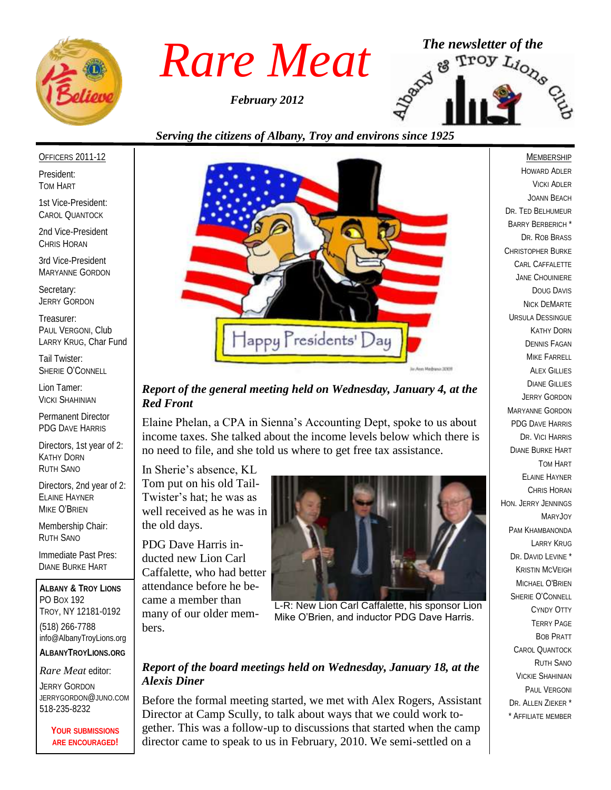

*February 2012*



## *Serving the citizens of Albany, Troy and environs since 1925*

#### OFFICERS 2011-12

President: TOM HART

1st Vice-President: CAROL QUANTOCK

2nd Vice-President CHRIS HORAN

3rd Vice-President MARYANNE GORDON

Secretary: JERRY GORDON

Treasurer: PAUL VERGONI, Club LARRY KRUG, Char Fund

Tail Twister: SHERIE O'CONNELL

Lion Tamer: VICKI SHAHINIAN

Permanent Director PDG DAVE HARRIS

Directors, 1st year of 2: KATHY DORN RUTH SANO

Directors, 2nd year of 2: ELAINE HAYNER MIKE O'BRIEN

Membership Chair: RUTH SANO

Immediate Past Pres: DIANE BURKE HART

**ALBANY & TROY LIONS** PO BOX 192 TROY, NY 12181-0192 (518) 266-7788 info@AlbanyTroyLions.org **ALBANYTROYLIONS.ORG**

*Rare Meat* editor:

JERRY GORDON JERRYGORDON@JUNO.COM 518-235-8232

> **YOUR SUBMISSIONS ARE ENCOURAGED!**



#### *Report of the general meeting held on Wednesday, January 4, at the Red Front*

Elaine Phelan, a CPA in Sienna's Accounting Dept, spoke to us about income taxes. She talked about the income levels below which there is no need to file, and she told us where to get free tax assistance.

In Sherie's absence, KL Tom put on his old Tail-Twister's hat; he was as well received as he was in the old days.

PDG Dave Harris inducted new Lion Carl Caffalette, who had better attendance before he became a member than many of our older members.



L-R: New Lion Carl Caffalette, his sponsor Lion Mike O'Brien, and inductor PDG Dave Harris.

### *Report of the board meetings held on Wednesday, January 18, at the Alexis Diner*

Before the formal meeting started, we met with Alex Rogers, Assistant Director at Camp Scully, to talk about ways that we could work together. This was a follow-up to discussions that started when the camp director came to speak to us in February, 2010. We semi-settled on a

MEMBERSHIP

HOWARD ADLER VICKI ADLER JOANN BEACH DR. TED BELHUMEUR BARRY BERBERICH \* DR. ROB BRASS CHRISTOPHER BURKE CARL CAFFALETTE JANE CHOUINIERE DOUG DAVIS NICK DEMARTE URSULA DESSINGUE KATHY DORN DENNIS FAGAN MIKE FARRELL ALEX GILLIES DIANE GILLIES JERRY GORDON MARYANNE GORDON PDG DAVE HARRIS DR. VICI HARRIS DIANE BURKE HART TOM HART ELAINE HAYNER CHRIS HORAN HON. JERRY JENNINGS MARYJOY PAM KHAMBANONDA LARRY KRUG DR. DAVID LEVINE<sup>\*</sup> KRISTIN MCVEIGH MICHAEL O'BRIEN SHERIE O'CONNELL CYNDY OTTY TERRY PAGE BOB PRATT CAROL QUANTOCK RUTH SANO VICKIE SHAHINIAN PAUL VERGONI DR. ALLEN ZIEKER \* \* AFFILIATE MEMBER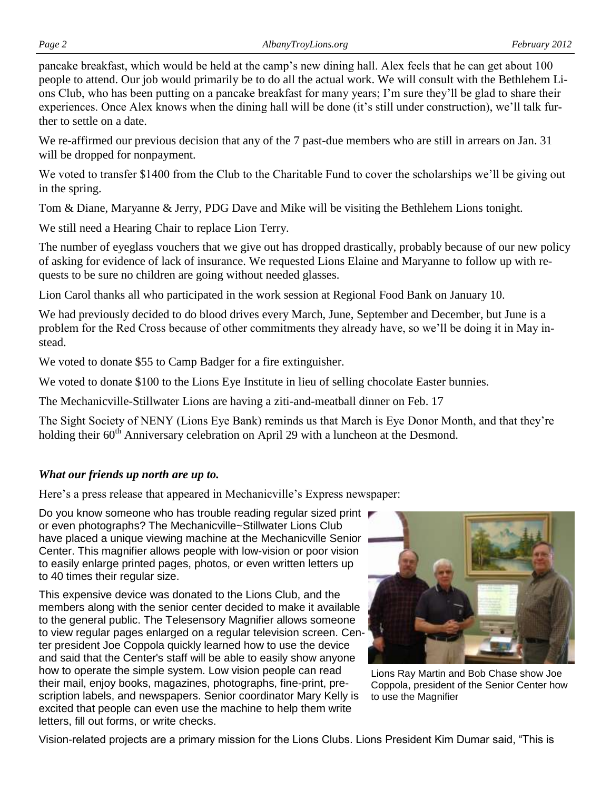pancake breakfast, which would be held at the camp's new dining hall. Alex feels that he can get about 100 people to attend. Our job would primarily be to do all the actual work. We will consult with the Bethlehem Lions Club, who has been putting on a pancake breakfast for many years; I'm sure they'll be glad to share their experiences. Once Alex knows when the dining hall will be done (it's still under construction), we'll talk further to settle on a date.

We re-affirmed our previous decision that any of the 7 past-due members who are still in arrears on Jan. 31 will be dropped for nonpayment.

We voted to transfer \$1400 from the Club to the Charitable Fund to cover the scholarships we'll be giving out in the spring.

Tom & Diane, Maryanne & Jerry, PDG Dave and Mike will be visiting the Bethlehem Lions tonight.

We still need a Hearing Chair to replace Lion Terry.

The number of eyeglass vouchers that we give out has dropped drastically, probably because of our new policy of asking for evidence of lack of insurance. We requested Lions Elaine and Maryanne to follow up with requests to be sure no children are going without needed glasses.

Lion Carol thanks all who participated in the work session at Regional Food Bank on January 10.

We had previously decided to do blood drives every March, June, September and December, but June is a problem for the Red Cross because of other commitments they already have, so we'll be doing it in May instead.

We voted to donate \$55 to Camp Badger for a fire extinguisher.

We voted to donate \$100 to the Lions Eye Institute in lieu of selling chocolate Easter bunnies.

The Mechanicville-Stillwater Lions are having a ziti-and-meatball dinner on Feb. 17

The Sight Society of NENY (Lions Eye Bank) reminds us that March is Eye Donor Month, and that they're holding their 60<sup>th</sup> Anniversary celebration on April 29 with a luncheon at the Desmond.

## *What our friends up north are up to.*

Here's a press release that appeared in Mechanicville's Express newspaper:

Do you know someone who has trouble reading regular sized print or even photographs? The Mechanicville~Stillwater Lions Club have placed a unique viewing machine at the Mechanicville Senior Center. This magnifier allows people with low-vision or poor vision to easily enlarge printed pages, photos, or even written letters up to 40 times their regular size.

This expensive device was donated to the Lions Club, and the members along with the senior center decided to make it available to the general public. The Telesensory Magnifier allows someone to view regular pages enlarged on a regular television screen. Center president Joe Coppola quickly learned how to use the device and said that the Center's staff will be able to easily show anyone how to operate the simple system. Low vision people can read their mail, enjoy books, magazines, photographs, fine-print, prescription labels, and newspapers. Senior coordinator Mary Kelly is excited that people can even use the machine to help them write letters, fill out forms, or write checks.



Lions Ray Martin and Bob Chase show Joe Coppola, president of the Senior Center how to use the Magnifier

Vision-related projects are a primary mission for the Lions Clubs. Lions President Kim Dumar said, "This is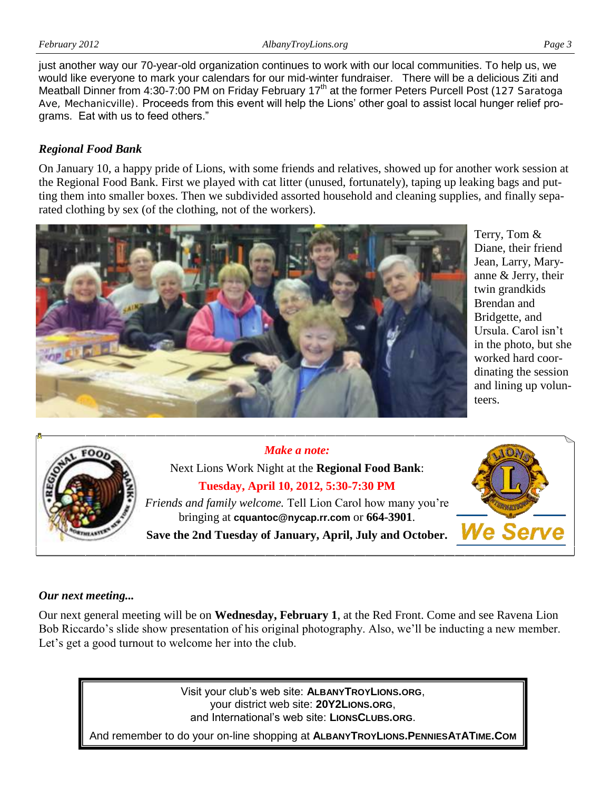just another way our 70-year-old organization continues to work with our local communities. To help us, we would like everyone to mark your calendars for our mid-winter fundraiser. There will be a delicious Ziti and Meatball Dinner from 4:30-7:00 PM on Friday February 17<sup>th</sup> at the former Peters Purcell Post (127 Saratoga Ave, Mechanicville). Proceeds from this event will help the Lions' other goal to assist local hunger relief programs. Eat with us to feed others."

## *Regional Food Bank*

On January 10, a happy pride of Lions, with some friends and relatives, showed up for another work session at the Regional Food Bank. First we played with cat litter (unused, fortunately), taping up leaking bags and putting them into smaller boxes. Then we subdivided assorted household and cleaning supplies, and finally separated clothing by sex (of the clothing, not of the workers).



Terry, Tom & Diane, their friend Jean, Larry, Maryanne & Jerry, their twin grandkids Brendan and Bridgette, and Ursula. Carol isn't in the photo, but she worked hard coordinating the session and lining up volunteers.



## *Make a note:*



## *Our next meeting...*

Our next general meeting will be on **Wednesday, February 1**, at the Red Front. Come and see Ravena Lion Bob Riccardo's slide show presentation of his original photography. Also, we'll be inducting a new member. Let's get a good turnout to welcome her into the club.

> Visit your club's web site: **ALBANYTROYLIONS.ORG**, your district web site: **20Y2LIONS.ORG**, and International's web site: **LIONSCLUBS.ORG**.

And remember to do your on-line shopping at **ALBANYTROYLIONS.PENNIESATATIME.COM**